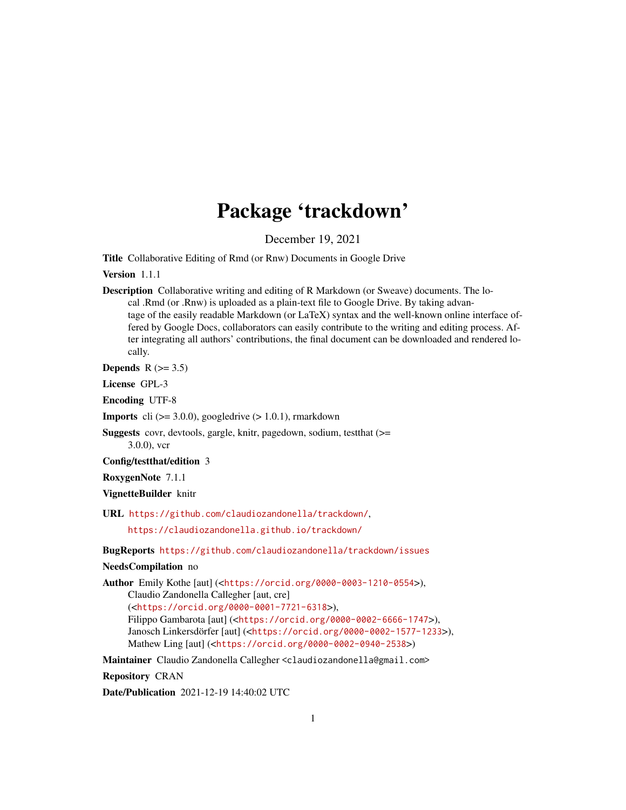## Package 'trackdown'

December 19, 2021

Title Collaborative Editing of Rmd (or Rnw) Documents in Google Drive

Version 1.1.1

Description Collaborative writing and editing of R Markdown (or Sweave) documents. The local .Rmd (or .Rnw) is uploaded as a plain-text file to Google Drive. By taking advantage of the easily readable Markdown (or LaTeX) syntax and the well-known online interface offered by Google Docs, collaborators can easily contribute to the writing and editing process. After integrating all authors' contributions, the final document can be downloaded and rendered locally.

Depends  $R$  ( $> = 3.5$ )

License GPL-3

Encoding UTF-8

**Imports** cli  $(>= 3.0.0)$ , googledrive  $(>= 1.0.1)$ , rmarkdown

Suggests covr, devtools, gargle, knitr, pagedown, sodium, testthat (>= 3.0.0), vcr

Config/testthat/edition 3

RoxygenNote 7.1.1

VignetteBuilder knitr

URL <https://github.com/claudiozandonella/trackdown/>,

<https://claudiozandonella.github.io/trackdown/>

BugReports <https://github.com/claudiozandonella/trackdown/issues>

#### NeedsCompilation no

Author Emily Kothe [aut] (<<https://orcid.org/0000-0003-1210-0554>>), Claudio Zandonella Callegher [aut, cre]

(<<https://orcid.org/0000-0001-7721-6318>>),

Filippo Gambarota [aut] (<<https://orcid.org/0000-0002-6666-1747>>), Janosch Linkersdörfer [aut] (<<https://orcid.org/0000-0002-1577-1233>>), Mathew Ling [aut] (<<https://orcid.org/0000-0002-0940-2538>>)

Maintainer Claudio Zandonella Callegher <claudiozandonella@gmail.com>

Repository CRAN

Date/Publication 2021-12-19 14:40:02 UTC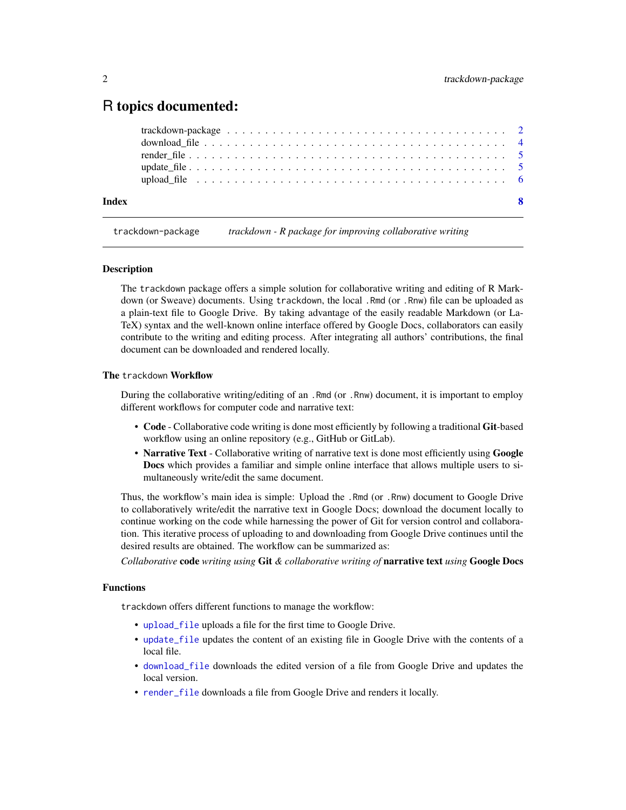### <span id="page-1-0"></span>R topics documented:

| upload file $\dots \dots \dots \dots \dots \dots \dots \dots \dots \dots \dots \dots \dots \dots \dots \dots$ |  |  |  |  |  |  |  |  |  |  |  |  |  |  |  |  |  |
|---------------------------------------------------------------------------------------------------------------|--|--|--|--|--|--|--|--|--|--|--|--|--|--|--|--|--|
|                                                                                                               |  |  |  |  |  |  |  |  |  |  |  |  |  |  |  |  |  |
|                                                                                                               |  |  |  |  |  |  |  |  |  |  |  |  |  |  |  |  |  |
|                                                                                                               |  |  |  |  |  |  |  |  |  |  |  |  |  |  |  |  |  |

<span id="page-1-1"></span>trackdown-package *trackdown - R package for improving collaborative writing*

#### Description

The trackdown package offers a simple solution for collaborative writing and editing of R Markdown (or Sweave) documents. Using trackdown, the local .Rmd (or .Rnw) file can be uploaded as a plain-text file to Google Drive. By taking advantage of the easily readable Markdown (or La-TeX) syntax and the well-known online interface offered by Google Docs, collaborators can easily contribute to the writing and editing process. After integrating all authors' contributions, the final document can be downloaded and rendered locally.

#### The trackdown Workflow

During the collaborative writing/editing of an .Rmd (or .Rnw) document, it is important to employ different workflows for computer code and narrative text:

- Code Collaborative code writing is done most efficiently by following a traditional Git-based workflow using an online repository (e.g., GitHub or GitLab).
- Narrative Text Collaborative writing of narrative text is done most efficiently using Google Docs which provides a familiar and simple online interface that allows multiple users to simultaneously write/edit the same document.

Thus, the workflow's main idea is simple: Upload the .Rmd (or .Rnw) document to Google Drive to collaboratively write/edit the narrative text in Google Docs; download the document locally to continue working on the code while harnessing the power of Git for version control and collaboration. This iterative process of uploading to and downloading from Google Drive continues until the desired results are obtained. The workflow can be summarized as:

*Collaborative* code *writing using* Git *& collaborative writing of* narrative text *using* Google Docs

#### Functions

trackdown offers different functions to manage the workflow:

- [upload\\_file](#page-5-1) uploads a file for the first time to Google Drive.
- [update\\_file](#page-4-1) updates the content of an existing file in Google Drive with the contents of a local file.
- [download\\_file](#page-3-1) downloads the edited version of a file from Google Drive and updates the local version.
- [render\\_file](#page-4-2) downloads a file from Google Drive and renders it locally.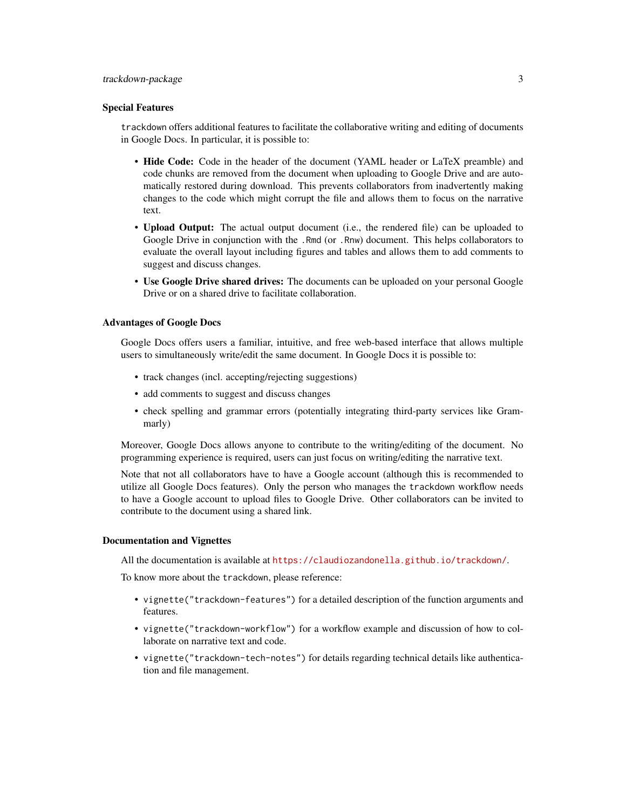#### Special Features

trackdown offers additional features to facilitate the collaborative writing and editing of documents in Google Docs. In particular, it is possible to:

- Hide Code: Code in the header of the document (YAML header or LaTeX preamble) and code chunks are removed from the document when uploading to Google Drive and are automatically restored during download. This prevents collaborators from inadvertently making changes to the code which might corrupt the file and allows them to focus on the narrative text.
- Upload Output: The actual output document (i.e., the rendered file) can be uploaded to Google Drive in conjunction with the .Rmd (or .Rnw) document. This helps collaborators to evaluate the overall layout including figures and tables and allows them to add comments to suggest and discuss changes.
- Use Google Drive shared drives: The documents can be uploaded on your personal Google Drive or on a shared drive to facilitate collaboration.

#### Advantages of Google Docs

Google Docs offers users a familiar, intuitive, and free web-based interface that allows multiple users to simultaneously write/edit the same document. In Google Docs it is possible to:

- track changes (incl. accepting/rejecting suggestions)
- add comments to suggest and discuss changes
- check spelling and grammar errors (potentially integrating third-party services like Grammarly)

Moreover, Google Docs allows anyone to contribute to the writing/editing of the document. No programming experience is required, users can just focus on writing/editing the narrative text.

Note that not all collaborators have to have a Google account (although this is recommended to utilize all Google Docs features). Only the person who manages the trackdown workflow needs to have a Google account to upload files to Google Drive. Other collaborators can be invited to contribute to the document using a shared link.

#### Documentation and Vignettes

All the documentation is available at <https://claudiozandonella.github.io/trackdown/>.

To know more about the trackdown, please reference:

- vignette("trackdown-features") for a detailed description of the function arguments and features.
- vignette("trackdown-workflow") for a workflow example and discussion of how to collaborate on narrative text and code.
- vignette("trackdown-tech-notes") for details regarding technical details like authentication and file management.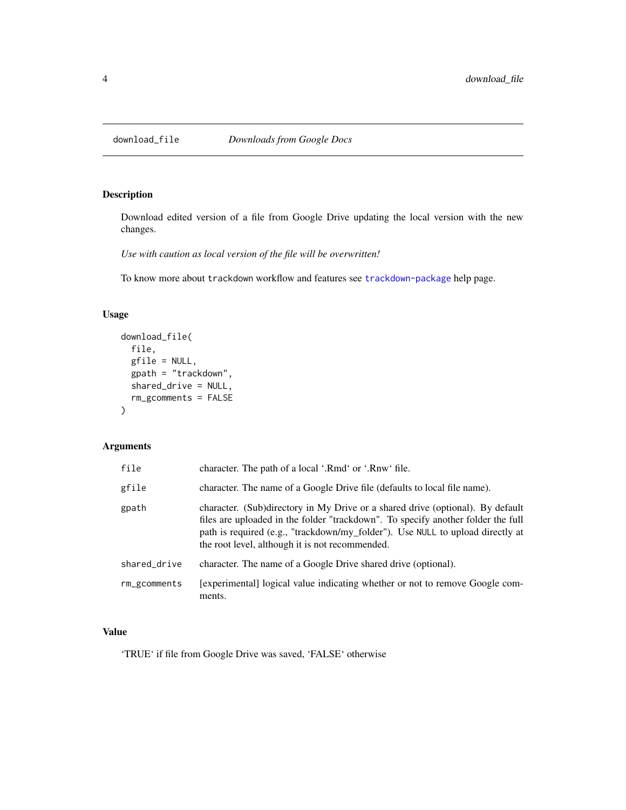<span id="page-3-1"></span><span id="page-3-0"></span>

#### Description

Download edited version of a file from Google Drive updating the local version with the new changes.

*Use with caution as local version of the file will be overwritten!*

To know more about trackdown workflow and features see [trackdown-package](#page-1-1) help page.

#### Usage

```
download_file(
  file,
  gfile = NULL,
  gpath = "trackdown",
  shared_drive = NULL,
  rm_gcomments = FALSE
)
```
#### Arguments

| file         | character. The path of a local '.Rmd' or '.Rnw' file.                                                                                                                                                                                                                                                   |
|--------------|---------------------------------------------------------------------------------------------------------------------------------------------------------------------------------------------------------------------------------------------------------------------------------------------------------|
| gfile        | character. The name of a Google Drive file (defaults to local file name).                                                                                                                                                                                                                               |
| gpath        | character. (Sub)directory in My Drive or a shared drive (optional). By default<br>files are uploaded in the folder "trackdown". To specify another folder the full<br>path is required (e.g., "trackdown/my_folder"). Use NULL to upload directly at<br>the root level, although it is not recommended. |
| shared_drive | character. The name of a Google Drive shared drive (optional).                                                                                                                                                                                                                                          |
| rm_gcomments | [experimental] logical value indicating whether or not to remove Google com-<br>ments.                                                                                                                                                                                                                  |

#### Value

'TRUE' if file from Google Drive was saved, 'FALSE' otherwise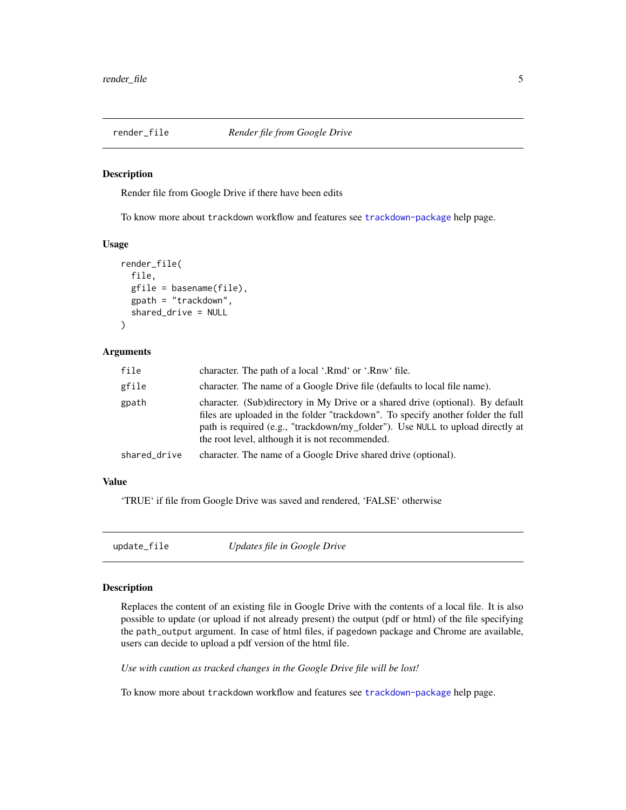<span id="page-4-2"></span><span id="page-4-0"></span>

#### Description

Render file from Google Drive if there have been edits

To know more about trackdown workflow and features see [trackdown-package](#page-1-1) help page.

#### Usage

```
render_file(
  file,
  gfile = basename(file),
 gpath = "trackdown",
 shared_drive = NULL
)
```
#### Arguments

| file         | character. The path of a local '.Rmd' or '.Rnw' file.                                                                                                                                                                                                                                                   |
|--------------|---------------------------------------------------------------------------------------------------------------------------------------------------------------------------------------------------------------------------------------------------------------------------------------------------------|
| gfile        | character. The name of a Google Drive file (defaults to local file name).                                                                                                                                                                                                                               |
| gpath        | character. (Sub)directory in My Drive or a shared drive (optional). By default<br>files are uploaded in the folder "trackdown". To specify another folder the full<br>path is required (e.g., "trackdown/my_folder"). Use NULL to upload directly at<br>the root level, although it is not recommended. |
| shared_drive | character. The name of a Google Drive shared drive (optional).                                                                                                                                                                                                                                          |

#### Value

'TRUE' if file from Google Drive was saved and rendered, 'FALSE' otherwise

<span id="page-4-1"></span>

| update_file | Updates file in Google Drive |
|-------------|------------------------------|
|-------------|------------------------------|

#### Description

Replaces the content of an existing file in Google Drive with the contents of a local file. It is also possible to update (or upload if not already present) the output (pdf or html) of the file specifying the path\_output argument. In case of html files, if pagedown package and Chrome are available, users can decide to upload a pdf version of the html file.

*Use with caution as tracked changes in the Google Drive file will be lost!*

To know more about trackdown workflow and features see [trackdown-package](#page-1-1) help page.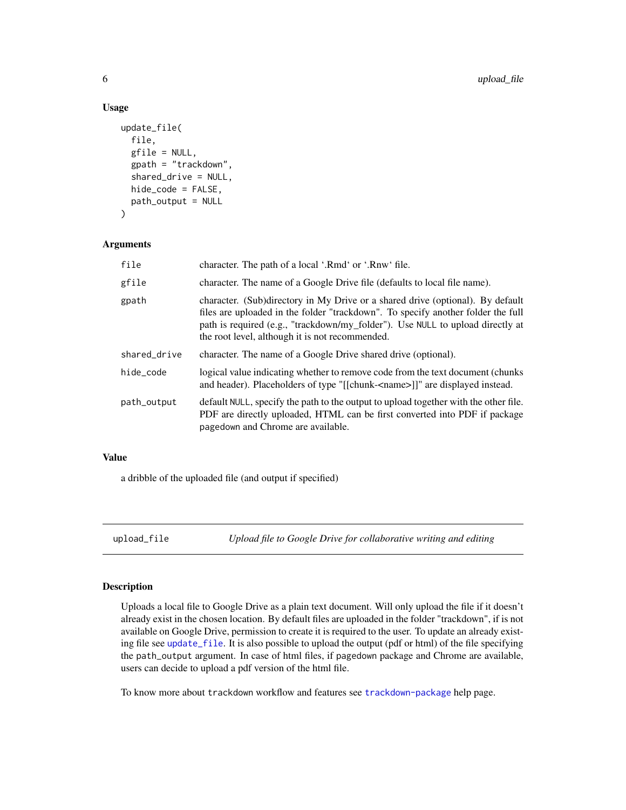#### Usage

```
update_file(
  file,
  gfile = NULL,
  gpath = "trackdown",
  shared_drive = NULL,
  hide_code = FALSE,
  path_output = NULL
)
```
#### Arguments

| file         | character. The path of a local '.Rmd' or '.Rnw' file.                                                                                                                                                                                                                                                   |
|--------------|---------------------------------------------------------------------------------------------------------------------------------------------------------------------------------------------------------------------------------------------------------------------------------------------------------|
| gfile        | character. The name of a Google Drive file (defaults to local file name).                                                                                                                                                                                                                               |
| gpath        | character. (Sub)directory in My Drive or a shared drive (optional). By default<br>files are uploaded in the folder "trackdown". To specify another folder the full<br>path is required (e.g., "trackdown/my_folder"). Use NULL to upload directly at<br>the root level, although it is not recommended. |
| shared_drive | character. The name of a Google Drive shared drive (optional).                                                                                                                                                                                                                                          |
| hide_code    | logical value indicating whether to remove code from the text document (chunks)<br>and header). Placeholders of type "[[chunk- <name>]]" are displayed instead.</name>                                                                                                                                  |
| path_output  | default NULL, specify the path to the output to upload together with the other file.<br>PDF are directly uploaded, HTML can be first converted into PDF if package<br>pagedown and Chrome are available.                                                                                                |

#### Value

a dribble of the uploaded file (and output if specified)

<span id="page-5-1"></span>upload\_file *Upload file to Google Drive for collaborative writing and editing*

#### Description

Uploads a local file to Google Drive as a plain text document. Will only upload the file if it doesn't already exist in the chosen location. By default files are uploaded in the folder "trackdown", if is not available on Google Drive, permission to create it is required to the user. To update an already existing file see [update\\_file](#page-4-1). It is also possible to upload the output (pdf or html) of the file specifying the path\_output argument. In case of html files, if pagedown package and Chrome are available, users can decide to upload a pdf version of the html file.

To know more about trackdown workflow and features see [trackdown-package](#page-1-1) help page.

<span id="page-5-0"></span>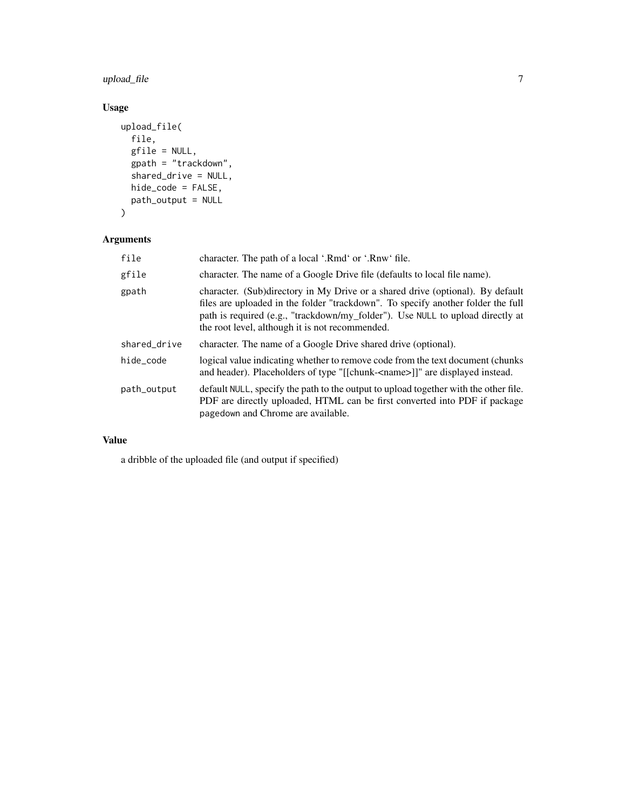upload\_file 7

#### Usage

```
upload_file(
  file,
  gfile = NULL,
  gpath = "trackdown",
  shared_drive = NULL,
  hide_code = FALSE,
  path_output = NULL
)
```
#### Arguments

| file         | character. The path of a local '.Rmd' or '.Rnw' file.                                                                                                                                                                                                                                                   |
|--------------|---------------------------------------------------------------------------------------------------------------------------------------------------------------------------------------------------------------------------------------------------------------------------------------------------------|
| gfile        | character. The name of a Google Drive file (defaults to local file name).                                                                                                                                                                                                                               |
| gpath        | character. (Sub)directory in My Drive or a shared drive (optional). By default<br>files are uploaded in the folder "trackdown". To specify another folder the full<br>path is required (e.g., "trackdown/my_folder"). Use NULL to upload directly at<br>the root level, although it is not recommended. |
| shared_drive | character. The name of a Google Drive shared drive (optional).                                                                                                                                                                                                                                          |
| hide_code    | logical value indicating whether to remove code from the text document (chunks)<br>and header). Placeholders of type "[[chunk- <name>]]" are displayed instead.</name>                                                                                                                                  |
| path_output  | default NULL, specify the path to the output to upload together with the other file.<br>PDF are directly uploaded, HTML can be first converted into PDF if package<br>pagedown and Chrome are available.                                                                                                |

#### Value

a dribble of the uploaded file (and output if specified)